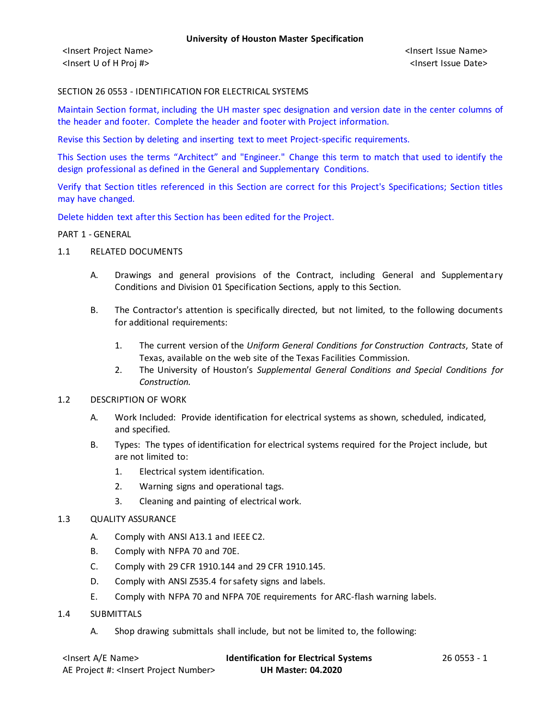<Insert Project Name> <Insert Issue Name> <Insert U of H Proj #> <Insert Issue Date>

#### SECTION 26 0553 - IDENTIFICATION FOR ELECTRICAL SYSTEMS

Maintain Section format, including the UH master spec designation and version date in the center columns of the header and footer. Complete the header and footer with Project information.

Revise this Section by deleting and inserting text to meet Project-specific requirements.

This Section uses the terms "Architect" and "Engineer." Change this term to match that used to identify the design professional as defined in the General and Supplementary Conditions.

Verify that Section titles referenced in this Section are correct for this Project's Specifications; Section titles may have changed.

Delete hidden text after this Section has been edited for the Project.

#### PART 1 - GENERAL

- 1.1 RELATED DOCUMENTS
	- A. Drawings and general provisions of the Contract, including General and Supplementary Conditions and Division 01 Specification Sections, apply to this Section.
	- B. The Contractor's attention is specifically directed, but not limited, to the following documents for additional requirements:
		- 1. The current version of the *Uniform General Conditions for Construction Contracts*, State of Texas, available on the web site of the Texas Facilities Commission.
		- 2. The University of Houston's *Supplemental General Conditions and Special Conditions for Construction.*
- 1.2 DESCRIPTION OF WORK
	- A. Work Included: Provide identification for electrical systems as shown, scheduled, indicated, and specified.
	- B. Types: The types of identification for electrical systems required for the Project include, but are not limited to:
		- 1. Electrical system identification.
		- 2. Warning signs and operational tags.
		- 3. Cleaning and painting of electrical work.
- 1.3 QUALITY ASSURANCE
	- A. Comply with ANSI A13.1 and IEEE C2.
	- B. Comply with NFPA 70 and 70E.
	- C. Comply with 29 CFR 1910.144 and 29 CFR 1910.145.
	- D. Comply with ANSI Z535.4 for safety signs and labels.
	- E. Comply with NFPA 70 and NFPA 70E requirements for ARC-flash warning labels.
- 1.4 SUBMITTALS
	- A. Shop drawing submittals shall include, but not be limited to, the following:

| <insert a="" e="" name=""></insert>                  | <b>Identification for Electrical Systems</b> | 26 0553 - 1 |
|------------------------------------------------------|----------------------------------------------|-------------|
| AE Project #: <insert number="" project=""></insert> | <b>UH Master: 04.2020</b>                    |             |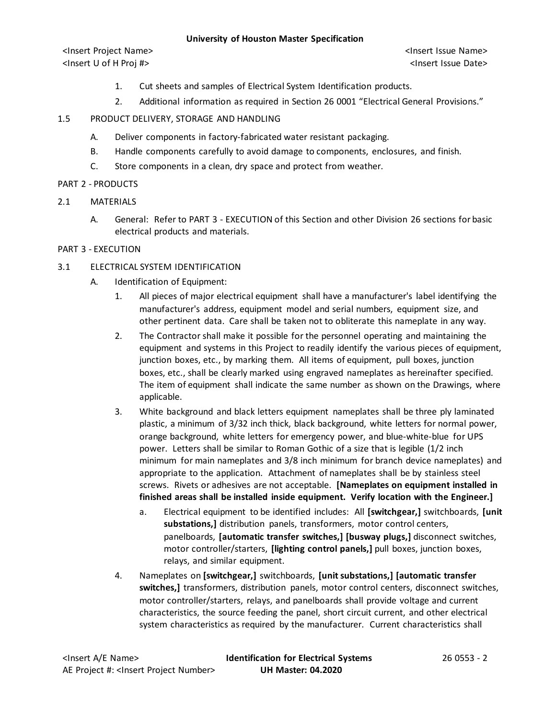<Insert Project Name> <Insert Issue Name> <Insert U of H Proj #> <Insert Issue Date>

- 1. Cut sheets and samples of Electrical System Identification products.
- 2. Additional information as required in Section 26 0001 "Electrical General Provisions."
- 1.5 PRODUCT DELIVERY, STORAGE AND HANDLING
	- A. Deliver components in factory-fabricated water resistant packaging.
	- B. Handle components carefully to avoid damage to components, enclosures, and finish.
	- C. Store components in a clean, dry space and protect from weather.

# PART 2 - PRODUCTS

- 2.1 MATERIALS
	- A. General: Refer to PART 3 EXECUTION of this Section and other Division 26 sections for basic electrical products and materials.

# PART 3 - EXECUTION

# 3.1 ELECTRICAL SYSTEM IDENTIFICATION

- A. Identification of Equipment:
	- 1. All pieces of major electrical equipment shall have a manufacturer's label identifying the manufacturer's address, equipment model and serial numbers, equipment size, and other pertinent data. Care shall be taken not to obliterate this nameplate in any way.
	- 2. The Contractor shall make it possible for the personnel operating and maintaining the equipment and systems in this Project to readily identify the various pieces of equipment, junction boxes, etc., by marking them. All items of equipment, pull boxes, junction boxes, etc., shall be clearly marked using engraved nameplates as hereinafter specified. The item of equipment shall indicate the same number as shown on the Drawings, where applicable.
	- 3. White background and black letters equipment nameplates shall be three ply laminated plastic, a minimum of 3/32 inch thick, black background, white letters for normal power, orange background, white letters for emergency power, and blue-white-blue for UPS power. Letters shall be similar to Roman Gothic of a size that is legible (1/2 inch minimum for main nameplates and 3/8 inch minimum for branch device nameplates) and appropriate to the application. Attachment of nameplates shall be by stainless steel screws. Rivets or adhesives are not acceptable. **[Nameplates on equipment installed in finished areas shall be installed inside equipment. Verify location with the Engineer.]**
		- a. Electrical equipment to be identified includes: All **[switchgear,]** switchboards, **[unit substations,]** distribution panels, transformers, motor control centers, panelboards, **[automatic transfer switches,] [busway plugs,]** disconnect switches, motor controller/starters, **[lighting control panels,]** pull boxes, junction boxes, relays, and similar equipment.
	- 4. Nameplates on **[switchgear,]** switchboards, **[unit substations,] [automatic transfer switches,]** transformers, distribution panels, motor control centers, disconnect switches, motor controller/starters, relays, and panelboards shall provide voltage and current characteristics, the source feeding the panel, short circuit current, and other electrical system characteristics as required by the manufacturer. Current characteristics shall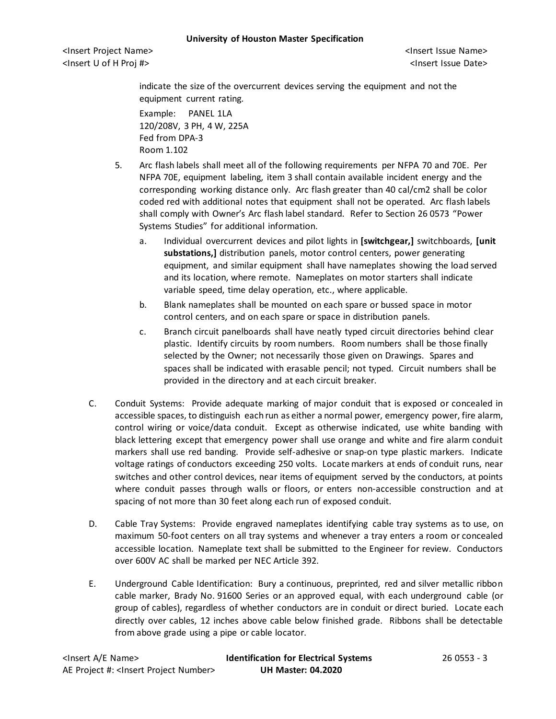<Insert Project Name> <Insert Issue Name> <Insert U of H Proj #> <Insert Issue Date>

indicate the size of the overcurrent devices serving the equipment and not the equipment current rating.

Example: PANEL 1LA 120/208V, 3 PH, 4 W, 225A Fed from DPA-3 Room 1.102

- 5. Arc flash labels shall meet all of the following requirements per NFPA 70 and 70E. Per NFPA 70E, equipment labeling, item 3 shall contain available incident energy and the corresponding working distance only. Arc flash greater than 40 cal/cm2 shall be color coded red with additional notes that equipment shall not be operated. Arc flash labels shall comply with Owner's Arc flash label standard. Refer to Section 26 0573 "Power Systems Studies" for additional information.
	- a. Individual overcurrent devices and pilot lights in **[switchgear,]** switchboards, **[unit substations,]** distribution panels, motor control centers, power generating equipment, and similar equipment shall have nameplates showing the load served and its location, where remote. Nameplates on motor starters shall indicate variable speed, time delay operation, etc., where applicable.
	- b. Blank nameplates shall be mounted on each spare or bussed space in motor control centers, and on each spare or space in distribution panels.
	- c. Branch circuit panelboards shall have neatly typed circuit directories behind clear plastic. Identify circuits by room numbers. Room numbers shall be those finally selected by the Owner; not necessarily those given on Drawings. Spares and spaces shall be indicated with erasable pencil; not typed. Circuit numbers shall be provided in the directory and at each circuit breaker.
- C. Conduit Systems: Provide adequate marking of major conduit that is exposed or concealed in accessible spaces, to distinguish each run as either a normal power, emergency power, fire alarm, control wiring or voice/data conduit. Except as otherwise indicated, use white banding with black lettering except that emergency power shall use orange and white and fire alarm conduit markers shall use red banding. Provide self-adhesive or snap-on type plastic markers. Indicate voltage ratings of conductors exceeding 250 volts. Locate markers at ends of conduit runs, near switches and other control devices, near items of equipment served by the conductors, at points where conduit passes through walls or floors, or enters non-accessible construction and at spacing of not more than 30 feet along each run of exposed conduit.
- D. Cable Tray Systems: Provide engraved nameplates identifying cable tray systems as to use, on maximum 50-foot centers on all tray systems and whenever a tray enters a room or concealed accessible location. Nameplate text shall be submitted to the Engineer for review. Conductors over 600V AC shall be marked per NEC Article 392.
- E. Underground Cable Identification: Bury a continuous, preprinted, red and silver metallic ribbon cable marker, Brady No. 91600 Series or an approved equal, with each underground cable (or group of cables), regardless of whether conductors are in conduit or direct buried. Locate each directly over cables, 12 inches above cable below finished grade. Ribbons shall be detectable from above grade using a pipe or cable locator.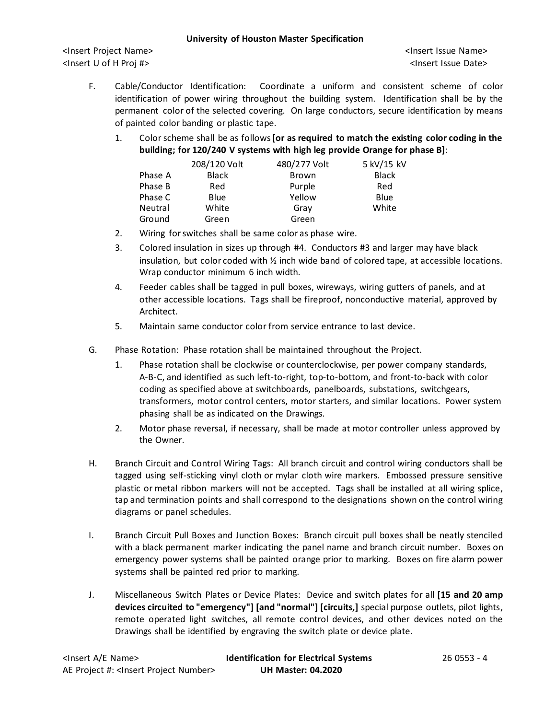<Insert Project Name> <Insert Issue Name> <Insert U of H Proj #> <Insert Issue Date>

- F. Cable/Conductor Identification: Coordinate a uniform and consistent scheme of color identification of power wiring throughout the building system. Identification shall be by the permanent color of the selected covering. On large conductors, secure identification by means of painted color banding or plastic tape.
	- 1. Color scheme shall be as follows**[or as required to match the existing color coding in the building; for 120/240 V systems with high leg provide Orange for phase B]**:

|         | 208/120 Volt | 480/277 Volt | 5 kV/15 kV   |
|---------|--------------|--------------|--------------|
| Phase A | <b>Black</b> | Brown        | <b>Black</b> |
| Phase B | Red          | Purple       | Red          |
| Phase C | <b>Blue</b>  | Yellow       | Blue         |
| Neutral | White        | Gray         | White        |
| Ground  | Green        | Green        |              |

- 2. Wiring for switches shall be same color as phase wire.
- 3. Colored insulation in sizes up through #4. Conductors #3 and larger may have black insulation, but color coded with ½ inch wide band of colored tape, at accessible locations. Wrap conductor minimum 6 inch width.
- 4. Feeder cables shall be tagged in pull boxes, wireways, wiring gutters of panels, and at other accessible locations. Tags shall be fireproof, nonconductive material, approved by Architect.
- 5. Maintain same conductor color from service entrance to last device.
- G. Phase Rotation: Phase rotation shall be maintained throughout the Project.
	- 1. Phase rotation shall be clockwise or counterclockwise, per power company standards, A-B-C, and identified as such left-to-right, top-to-bottom, and front-to-back with color coding as specified above at switchboards, panelboards, substations, switchgears, transformers, motor control centers, motor starters, and similar locations. Power system phasing shall be as indicated on the Drawings.
	- 2. Motor phase reversal, if necessary, shall be made at motor controller unless approved by the Owner.
- H. Branch Circuit and Control Wiring Tags: All branch circuit and control wiring conductors shall be tagged using self-sticking vinyl cloth or mylar cloth wire markers. Embossed pressure sensitive plastic or metal ribbon markers will not be accepted. Tags shall be installed at all wiring splice, tap and termination points and shall correspond to the designations shown on the control wiring diagrams or panel schedules.
- I. Branch Circuit Pull Boxes and Junction Boxes: Branch circuit pull boxes shall be neatly stenciled with a black permanent marker indicating the panel name and branch circuit number. Boxes on emergency power systems shall be painted orange prior to marking. Boxes on fire alarm power systems shall be painted red prior to marking.
- J. Miscellaneous Switch Plates or Device Plates: Device and switch plates for all **[15 and 20 amp devices circuited to "emergency"] [and "normal"] [circuits,]** special purpose outlets, pilot lights, remote operated light switches, all remote control devices, and other devices noted on the Drawings shall be identified by engraving the switch plate or device plate.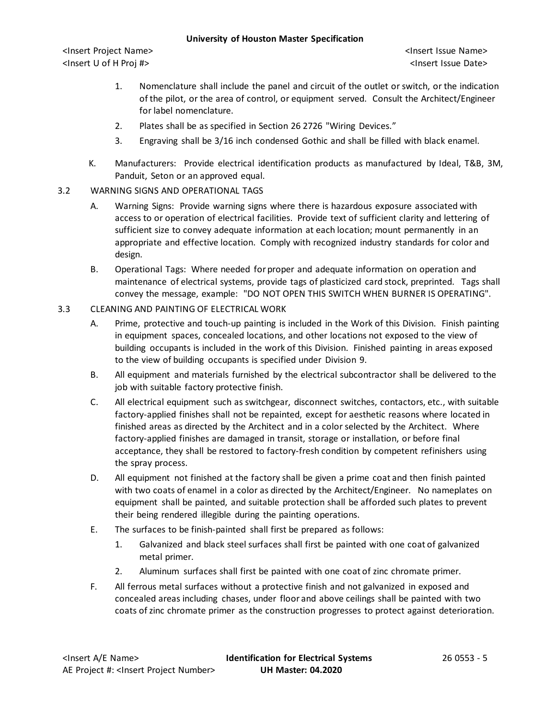<Insert Project Name> <Insert Issue Name> <Insert U of H Proj #> <Insert Issue Date>

- 1. Nomenclature shall include the panel and circuit of the outlet or switch, or the indication of the pilot, or the area of control, or equipment served. Consult the Architect/Engineer for label nomenclature.
- 2. Plates shall be as specified in Section 26 2726 "Wiring Devices."
- 3. Engraving shall be 3/16 inch condensed Gothic and shall be filled with black enamel.
- K. Manufacturers: Provide electrical identification products as manufactured by Ideal, T&B, 3M, Panduit, Seton or an approved equal.
- 3.2 WARNING SIGNS AND OPERATIONAL TAGS
	- A. Warning Signs: Provide warning signs where there is hazardous exposure associated with access to or operation of electrical facilities. Provide text of sufficient clarity and lettering of sufficient size to convey adequate information at each location; mount permanently in an appropriate and effective location. Comply with recognized industry standards for color and design.
	- B. Operational Tags: Where needed for proper and adequate information on operation and maintenance of electrical systems, provide tags of plasticized card stock, preprinted. Tags shall convey the message, example: "DO NOT OPEN THIS SWITCH WHEN BURNER IS OPERATING".
- 3.3 CLEANING AND PAINTING OF ELECTRICAL WORK
	- A. Prime, protective and touch-up painting is included in the Work of this Division. Finish painting in equipment spaces, concealed locations, and other locations not exposed to the view of building occupants is included in the work of this Division. Finished painting in areas exposed to the view of building occupants is specified under Division 9.
	- B. All equipment and materials furnished by the electrical subcontractor shall be delivered to the job with suitable factory protective finish.
	- C. All electrical equipment such as switchgear, disconnect switches, contactors, etc., with suitable factory-applied finishes shall not be repainted, except for aesthetic reasons where located in finished areas as directed by the Architect and in a color selected by the Architect. Where factory-applied finishes are damaged in transit, storage or installation, or before final acceptance, they shall be restored to factory-fresh condition by competent refinishers using the spray process.
	- D. All equipment not finished at the factory shall be given a prime coat and then finish painted with two coats of enamel in a color as directed by the Architect/Engineer. No nameplates on equipment shall be painted, and suitable protection shall be afforded such plates to prevent their being rendered illegible during the painting operations.
	- E. The surfaces to be finish-painted shall first be prepared as follows:
		- 1. Galvanized and black steel surfaces shall first be painted with one coat of galvanized metal primer.
		- 2. Aluminum surfaces shall first be painted with one coat of zinc chromate primer.
	- F. All ferrous metal surfaces without a protective finish and not galvanized in exposed and concealed areas including chases, under floor and above ceilings shall be painted with two coats of zinc chromate primer as the construction progresses to protect against deterioration.